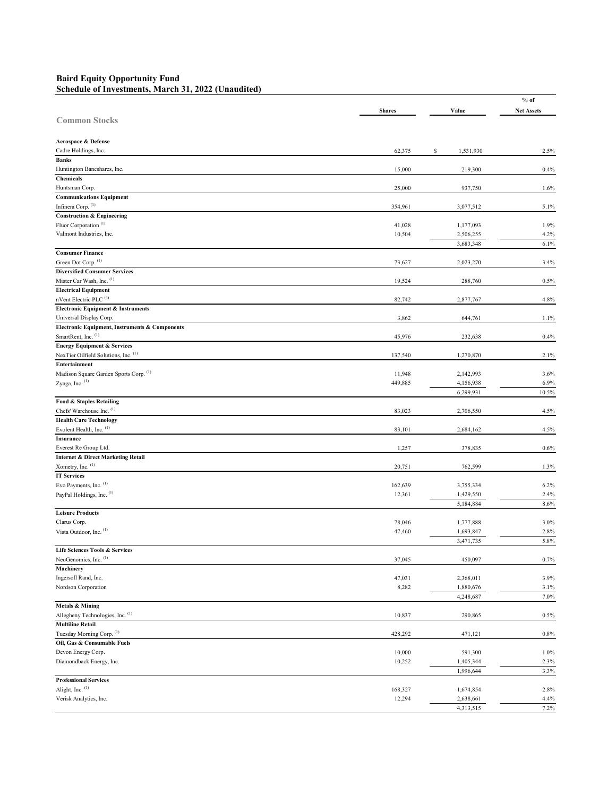## **Baird Equity Opportunity Fund Schedule of Investments, March 31, 2022 (Unaudited)**

|                                                           |               |       |           | $%$ of            |  |  |
|-----------------------------------------------------------|---------------|-------|-----------|-------------------|--|--|
|                                                           | <b>Shares</b> | Value |           | <b>Net Assets</b> |  |  |
| <b>Common Stocks</b>                                      |               |       |           |                   |  |  |
|                                                           |               |       |           |                   |  |  |
| Aerospace & Defense                                       |               |       |           |                   |  |  |
| Cadre Holdings, Inc.                                      | 62,375        | S     | 1,531,930 | 2.5%              |  |  |
| <b>Banks</b>                                              |               |       |           |                   |  |  |
| Huntington Bancshares, Inc.                               | 15,000        |       | 219,300   | 0.4%              |  |  |
| Chemicals                                                 |               |       |           |                   |  |  |
| Huntsman Corp.                                            | 25,000        |       | 937,750   | 1.6%              |  |  |
| <b>Communications Equipment</b>                           |               |       |           |                   |  |  |
| Infinera Corp. (1)                                        | 354,961       |       | 3,077,512 | 5.1%              |  |  |
| <b>Construction &amp; Engineering</b>                     |               |       |           |                   |  |  |
| Fluor Corporation <sup>(1)</sup>                          | 41,028        |       | 1,177,093 | 1.9%              |  |  |
| Valmont Industries, Inc.                                  | 10,504        |       | 2,506,255 | 4.2%              |  |  |
|                                                           |               |       | 3,683,348 | 6.1%              |  |  |
| <b>Consumer Finance</b>                                   |               |       |           |                   |  |  |
| Green Dot Corp. (1)                                       | 73,627        |       | 2,023,270 | 3.4%              |  |  |
| <b>Diversified Consumer Services</b>                      |               |       |           |                   |  |  |
| Mister Car Wash, Inc. (1)                                 | 19,524        |       | 288,760   | 0.5%              |  |  |
| <b>Electrical Equipment</b>                               |               |       |           |                   |  |  |
| nVent Electric PLC <sup>(4)</sup>                         | 82,742        |       |           |                   |  |  |
| <b>Electronic Equipment &amp; Instruments</b>             |               |       | 2,877,767 | 4.8%              |  |  |
|                                                           |               |       |           |                   |  |  |
| Universal Display Corp.                                   | 3,862         |       | 644,761   | 1.1%              |  |  |
| <b>Electronic Equipment, Instruments &amp; Components</b> |               |       |           |                   |  |  |
| SmartRent, Inc. (1)                                       | 45,976        |       | 232,638   | 0.4%              |  |  |
| <b>Energy Equipment &amp; Services</b>                    |               |       |           |                   |  |  |
| NexTier Oilfield Solutions, Inc. (1)                      | 137,540       |       | 1,270,870 | 2.1%              |  |  |
| Entertainment                                             |               |       |           |                   |  |  |
| Madison Square Garden Sports Corp. (1)                    | 11,948        |       | 2,142,993 | 3.6%              |  |  |
| Zynga, Inc. (1)                                           | 449,885       |       | 4,156,938 | 6.9%              |  |  |
|                                                           |               |       | 6,299,931 | 10.5%             |  |  |
| <b>Food &amp; Staples Retailing</b>                       |               |       |           |                   |  |  |
| Chefs' Warehouse Inc. (1)                                 | 83,023        |       | 2,706,550 | 4.5%              |  |  |
| <b>Health Care Technology</b>                             |               |       |           |                   |  |  |
| Evolent Health, Inc. (1)                                  | 83,101        |       | 2,684,162 | 4.5%              |  |  |
| <b>Insurance</b>                                          |               |       |           |                   |  |  |
| Everest Re Group Ltd.                                     | 1,257         |       | 378,835   | 0.6%              |  |  |
| <b>Internet &amp; Direct Marketing Retail</b>             |               |       |           |                   |  |  |
| Xometry, Inc. (1)                                         | 20,751        |       | 762,599   | 1.3%              |  |  |
| <b>IT Services</b>                                        |               |       |           |                   |  |  |
| Evo Payments, Inc. (1)                                    | 162,639       |       | 3,755,334 | 6.2%              |  |  |
| PayPal Holdings, Inc. (1)                                 | 12,361        |       | 1,429,550 | 2.4%              |  |  |
|                                                           |               |       | 5,184,884 | 8.6%              |  |  |
| <b>Leisure Products</b>                                   |               |       |           |                   |  |  |
| Clarus Corp.                                              | 78,046        |       | 1,777,888 | 3.0%              |  |  |
| Vista Outdoor, Inc. (1)                                   | 47,460        |       | 1,693,847 | 2.8%              |  |  |
|                                                           |               |       | 3,471,735 | 5.8%              |  |  |
| <b>Life Sciences Tools &amp; Services</b>                 |               |       |           |                   |  |  |
| NeoGenomics, Inc. (1)                                     | 37,045        |       | 450,097   | 0.7%              |  |  |
| Machinery                                                 |               |       |           |                   |  |  |
| Ingersoll Rand, Inc.                                      | 47,031        |       | 2,368,011 | 3.9%              |  |  |
| Nordson Corporation                                       | 8,282         |       | 1,880,676 | 3.1%              |  |  |
|                                                           |               |       | 4,248,687 | 7.0%              |  |  |
| <b>Metals &amp; Mining</b>                                |               |       |           |                   |  |  |
|                                                           |               |       |           |                   |  |  |
| Allegheny Technologies, Inc. (1)                          | 10,837        |       | 290,865   | 0.5%              |  |  |
| <b>Multiline Retail</b>                                   |               |       |           |                   |  |  |
| Tuesday Morning Corp. <sup>(1)</sup>                      | 428,292       |       | 471,121   | 0.8%              |  |  |
| Oil, Gas & Consumable Fuels                               |               |       |           |                   |  |  |
| Devon Energy Corp.                                        | 10,000        |       | 591,300   | 1.0%              |  |  |
| Diamondback Energy, Inc.                                  | 10,252        |       | 1,405,344 | 2.3%              |  |  |
|                                                           |               |       | 1,996,644 | 3.3%              |  |  |
| <b>Professional Services</b>                              |               |       |           |                   |  |  |
| Alight, Inc. (1)                                          | 168,327       |       | 1,674,854 | 2.8%              |  |  |
| Verisk Analytics, Inc.                                    | 12,294        |       | 2,638,661 | 4.4%              |  |  |
|                                                           |               |       | 4,313,515 | 7.2%              |  |  |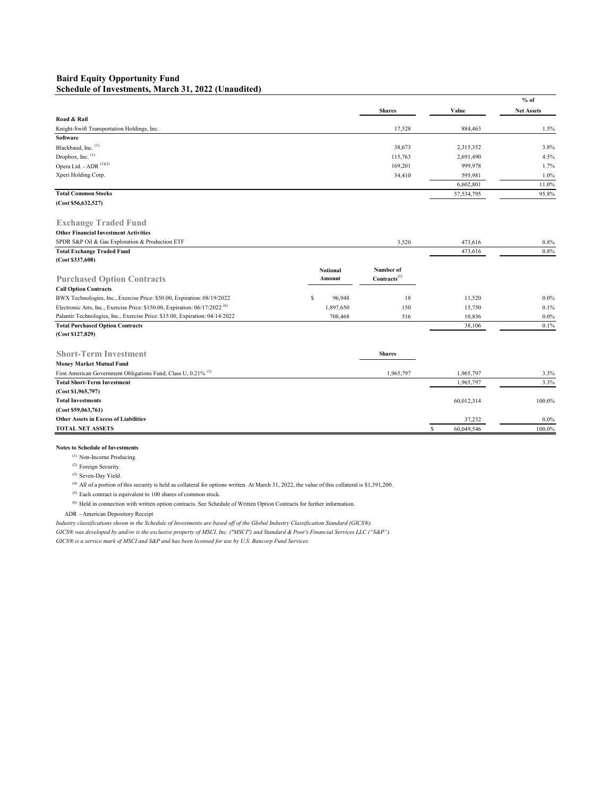# **Baird Equity Opportunity Fund Schedule of Investments, March 31, 2022 (Unaudited)**

|                                            |               |            | $%$ of<br><b>Net Assets</b> |  |
|--------------------------------------------|---------------|------------|-----------------------------|--|
|                                            | <b>Shares</b> | Value      |                             |  |
| Road & Rail                                |               |            |                             |  |
| Knight-Swift Transportation Holdings, Inc. | 17,528        | 884,463    | 1.5%                        |  |
| Software                                   |               |            |                             |  |
| Blackbaud, Inc. (1)                        | 38,673        | 2,315,352  | 3.8%                        |  |
| Dropbox, Inc. (1)                          | 115,763       | 2,691,490  | 4.5%                        |  |
| Opera Ltd. - ADR (1)(2)                    | 169,201       | 999,978    | 1.7%                        |  |
| Xperi Holding Corp.                        | 34,410        | 595,981    | 1.0%                        |  |
|                                            |               | 6,602,801  | 11.0%                       |  |
| <b>Total Common Stocks</b>                 |               | 57,534,795 | 95.8%                       |  |

#### **(Cost \$56,632,527)**

### **Other Financial Investment Activities Exchange Traded Fund**

| SPDR S&P Oil & Gas Exploration & Production ETF                                        |                 | 3,520             | 473,616    | 0.8%    |
|----------------------------------------------------------------------------------------|-----------------|-------------------|------------|---------|
| <b>Total Exchange Traded Fund</b>                                                      |                 |                   | 473,616    | 0.8%    |
| (Cost \$337,608)                                                                       |                 |                   |            |         |
|                                                                                        | <b>Notional</b> | Number of         |            |         |
| <b>Purchased Option Contracts</b>                                                      | Amount          | $Contracts^{(5)}$ |            |         |
| <b>Call Option Contracts</b>                                                           |                 |                   |            |         |
| BWX Technologies, Inc., Exercise Price: \$50.00, Expiration: 08/19/2022                | 96,948<br>S     | 18                | 11,520     | 0.0%    |
| Electronic Arts, Inc., Exercise Price: \$150.00, Expiration: 06/17/2022 <sup>(6)</sup> | 1,897,650       | 150               | 15,750     | 0.1%    |
| Palantir Technologies, Inc., Exercise Price: \$15.00, Expiration: 04/14/2022           | 708,468         | 516               | 10,836     | $0.0\%$ |
| <b>Total Purchased Option Contracts</b>                                                |                 |                   | 38,106     | 0.1%    |
| (Cost \$127,829)                                                                       |                 |                   |            |         |
| <b>Short-Term Investment</b>                                                           |                 | <b>Shares</b>     |            |         |
| <b>Money Market Mutual Fund</b>                                                        |                 |                   |            |         |
| First American Government Obligations Fund, Class U, 0.21% (3)                         |                 | 1,965,797         | 1,965,797  | 3.3%    |
| <b>Total Short-Term Investment</b>                                                     |                 |                   | 1,965,797  | 3.3%    |
| (Cost \$1,965,797)                                                                     |                 |                   |            |         |
| <b>Total Investments</b>                                                               |                 |                   | 60,012,314 | 100.0%  |
| (Cost \$59,063,761)                                                                    |                 |                   |            |         |

 0.0% 37,232  $\overline{\text{S}}$  60,049,546 100.0%

#### **Notes to Schedule of Investments**

(1) Non-Income Producing.

**Other Assets in Excess of Liabilities TOTAL NET ASSETS**

(2) Foreign Security.

(3) Seven-Day Yield.

 $(4)$  All of a portion of this security is held as collateral for options written. At March 31, 2022, the value of this collateral is \$1,391,200.

(5) Each contract is equivalent to 100 shares of common stock.

(6) Held in connection with written option contracts. See Schedule of Written Option Contracts for further information.

ADR - American Depository Receipt

*Industry classifications shown in the Schedule of Investments are based off of the Global Industry Classification Standard (GICS®).*

*GICS® is a service mark of MSCI and S&P and has been licensed for use by U.S. Bancorp Fund Services. GICS® was developed by and/or is the exclusive property of MSCI, Inc. ("MSCI") and Standard & Poor's Financial Services LLC ("S&P").*